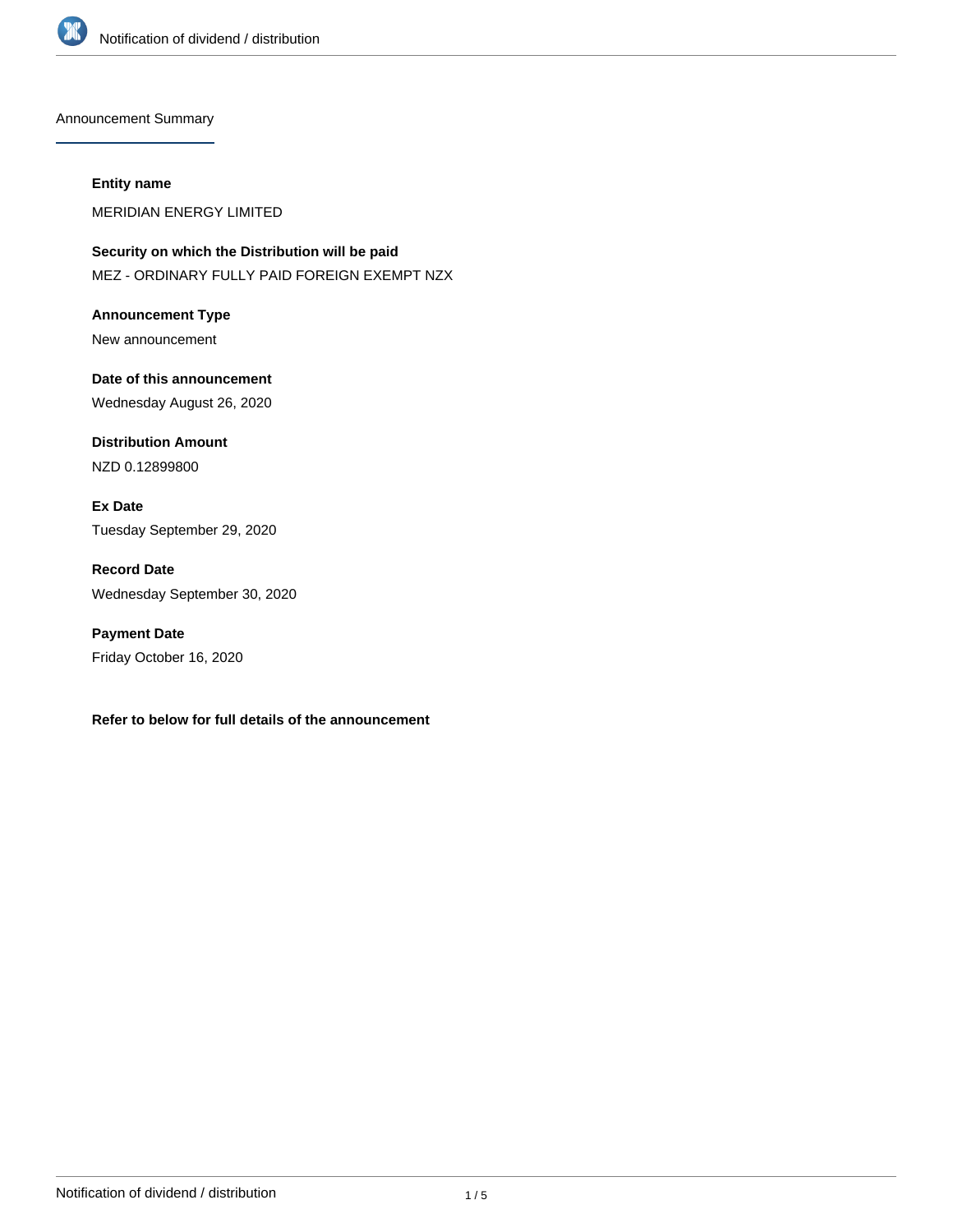

Announcement Summary

#### **Entity name**

MERIDIAN ENERGY LIMITED

**Security on which the Distribution will be paid** MEZ - ORDINARY FULLY PAID FOREIGN EXEMPT NZX

**Announcement Type** New announcement

**Date of this announcement** Wednesday August 26, 2020

**Distribution Amount** NZD 0.12899800

**Ex Date** Tuesday September 29, 2020

**Record Date** Wednesday September 30, 2020

**Payment Date** Friday October 16, 2020

**Refer to below for full details of the announcement**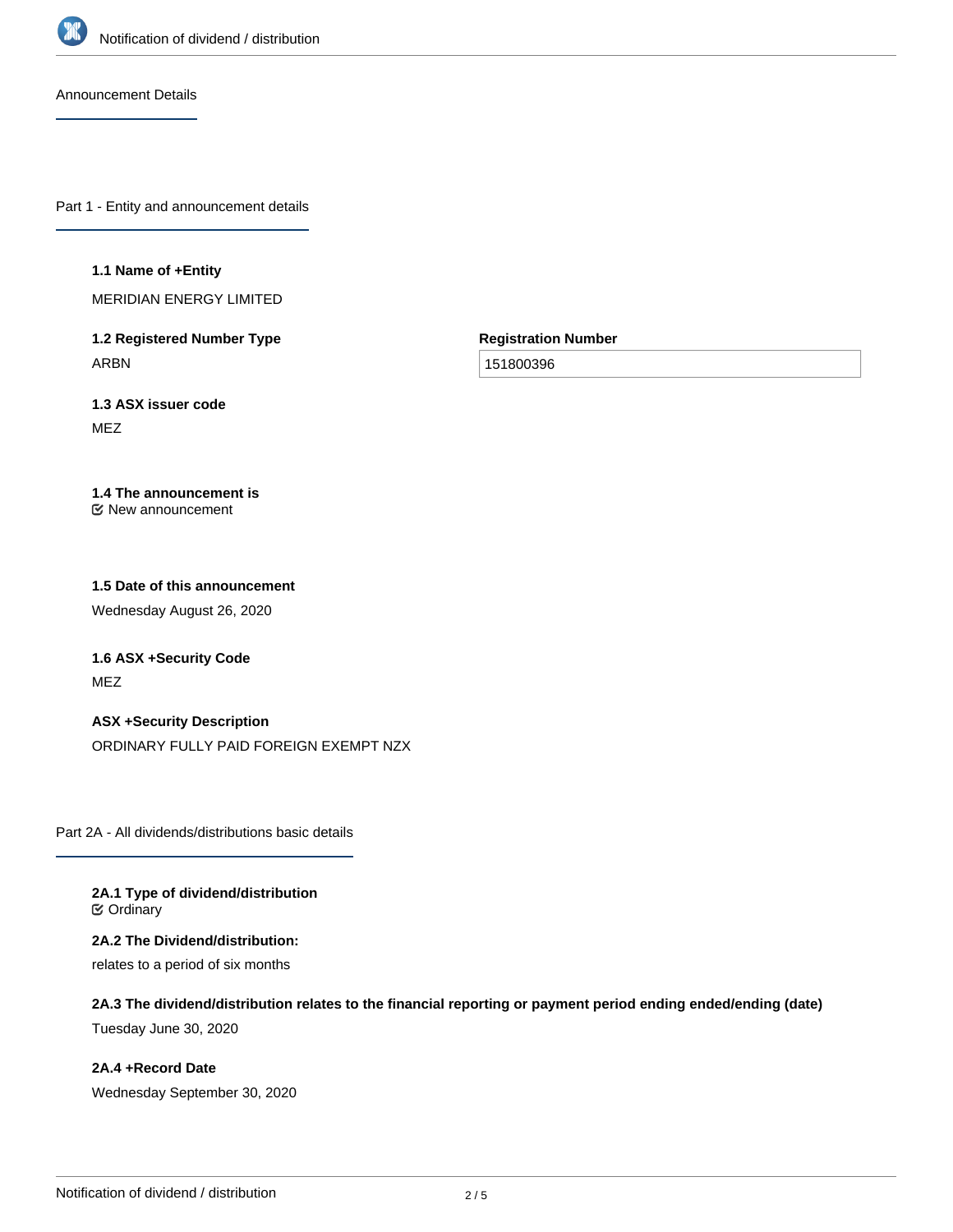

Announcement Details

Part 1 - Entity and announcement details

#### **1.1 Name of +Entity**

MERIDIAN ENERGY LIMITED

**1.2 Registered Number Type** ARBN

**Registration Number**

151800396

**1.3 ASX issuer code** MEZ

#### **1.4 The announcement is** New announcement

# **1.5 Date of this announcement**

Wednesday August 26, 2020

**1.6 ASX +Security Code** MEZ

#### **ASX +Security Description**

ORDINARY FULLY PAID FOREIGN EXEMPT NZX

Part 2A - All dividends/distributions basic details

**2A.1 Type of dividend/distribution ⊘** Ordinary

**2A.2 The Dividend/distribution:** relates to a period of six months

**2A.3 The dividend/distribution relates to the financial reporting or payment period ending ended/ending (date)**

Tuesday June 30, 2020

**2A.4 +Record Date** Wednesday September 30, 2020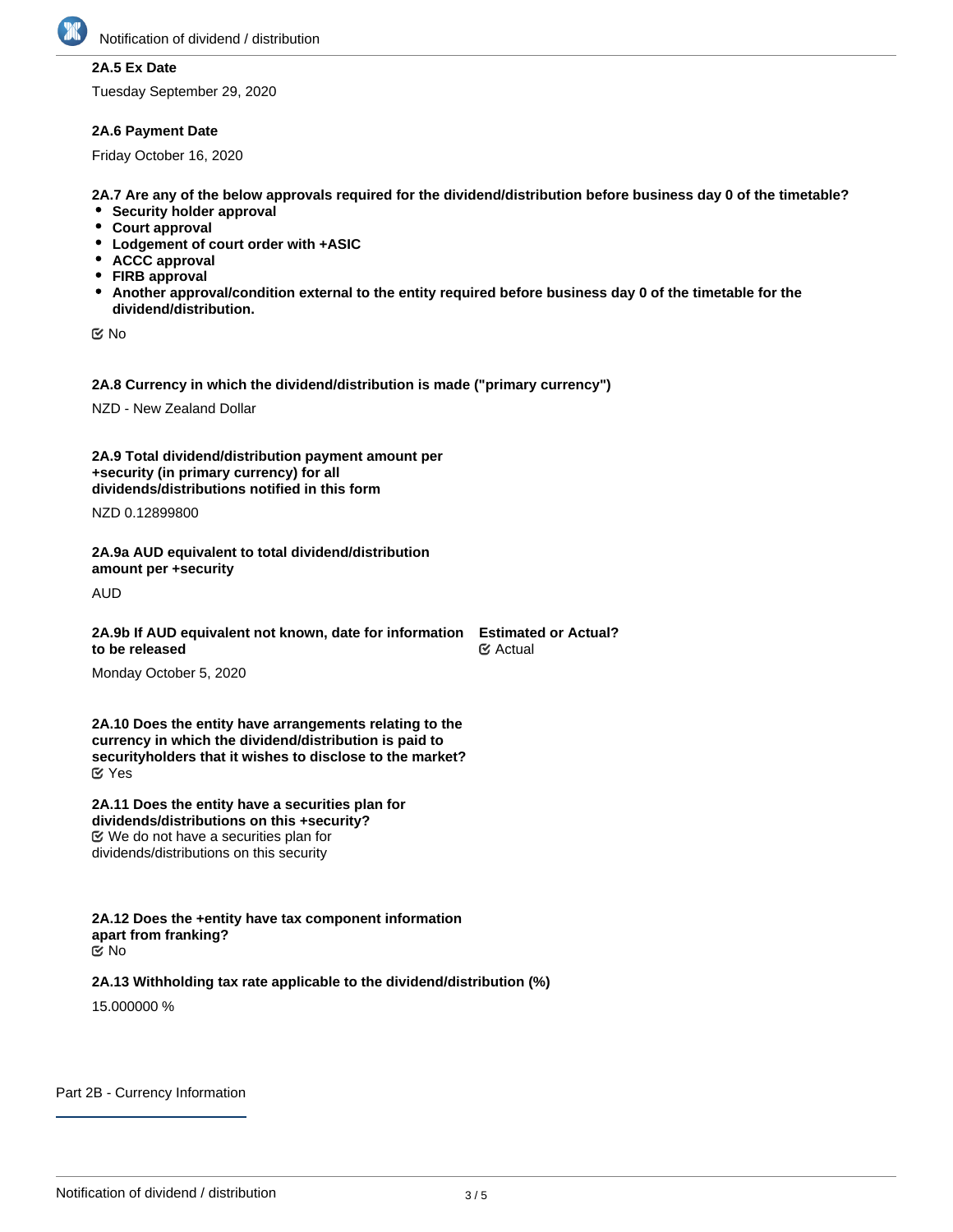

# **2A.5 Ex Date**

Tuesday September 29, 2020

### **2A.6 Payment Date**

Friday October 16, 2020

**2A.7 Are any of the below approvals required for the dividend/distribution before business day 0 of the timetable?**

- **•** Security holder approval
- **Court approval**
- **Lodgement of court order with +ASIC**
- **ACCC approval**
- **FIRB approval**
- **Another approval/condition external to the entity required before business day 0 of the timetable for the dividend/distribution.**

No

**2A.8 Currency in which the dividend/distribution is made ("primary currency")**

NZD - New Zealand Dollar

**2A.9 Total dividend/distribution payment amount per +security (in primary currency) for all dividends/distributions notified in this form**

NZD 0.12899800

**2A.9a AUD equivalent to total dividend/distribution amount per +security**

AUD

**2A.9b If AUD equivalent not known, date for information to be released Estimated or Actual? Ø** Actual

Monday October 5, 2020

**2A.10 Does the entity have arrangements relating to the currency in which the dividend/distribution is paid to securityholders that it wishes to disclose to the market?** Yes

**2A.11 Does the entity have a securities plan for dividends/distributions on this +security?** We do not have a securities plan for dividends/distributions on this security

**2A.12 Does the +entity have tax component information apart from franking?** No

### **2A.13 Withholding tax rate applicable to the dividend/distribution (%)**

15.000000 %

Part 2B - Currency Information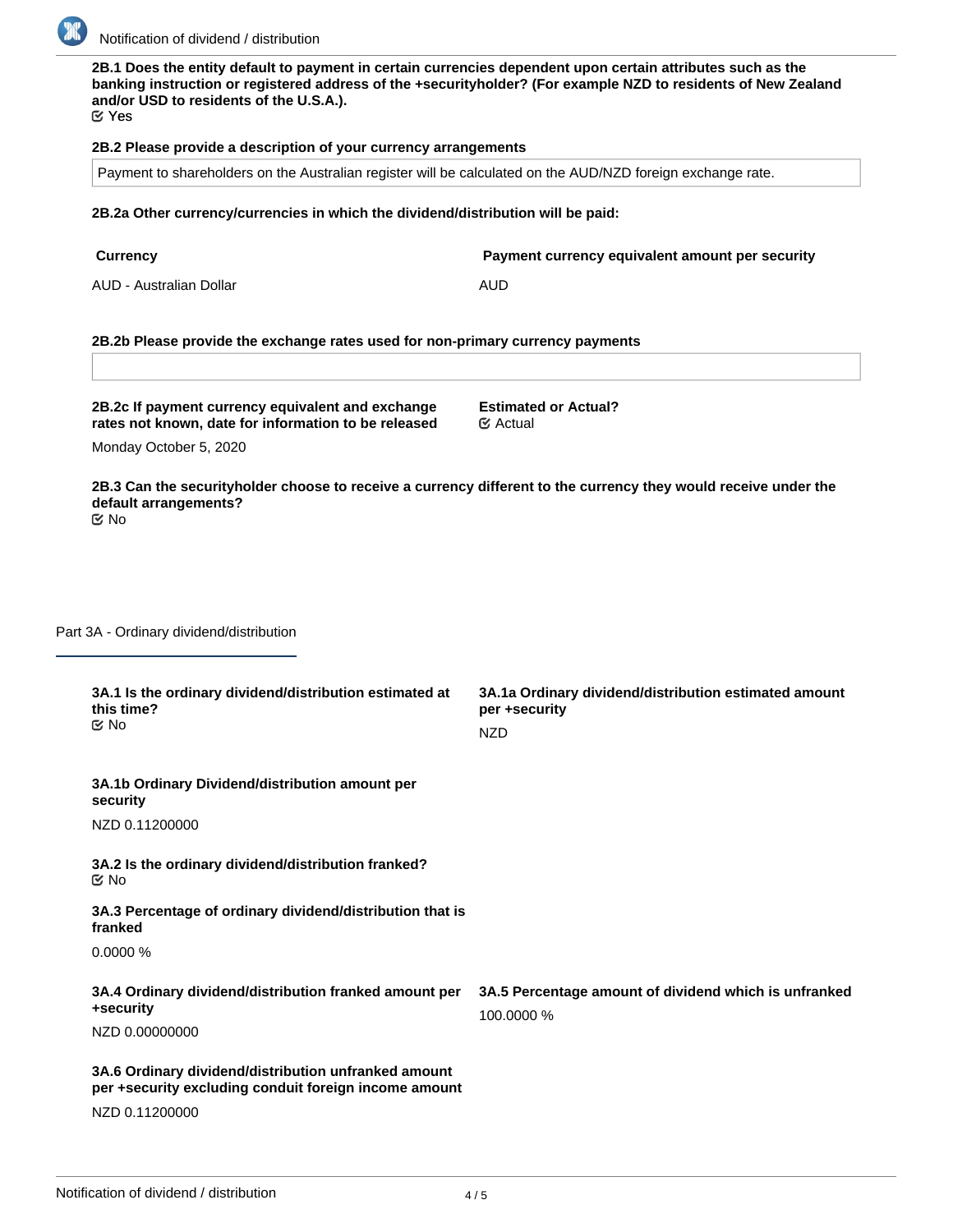

**2B.1 Does the entity default to payment in certain currencies dependent upon certain attributes such as the banking instruction or registered address of the +securityholder? (For example NZD to residents of New Zealand and/or USD to residents of the U.S.A.).**

Yes

### **2B.2 Please provide a description of your currency arrangements**

Payment to shareholders on the Australian register will be calculated on the AUD/NZD foreign exchange rate.

### **2B.2a Other currency/currencies in which the dividend/distribution will be paid:**

**Currency Payment currency equivalent amount per security**

AUD - Australian Dollar **AUD** 

## **2B.2b Please provide the exchange rates used for non-primary currency payments**

**2B.2c If payment currency equivalent and exchange rates not known, date for information to be released**

**Estimated or Actual?** Actual

Monday October 5, 2020

**2B.3 Can the securityholder choose to receive a currency different to the currency they would receive under the default arrangements?** No

Part 3A - Ordinary dividend/distribution

| 3A.1 Is the ordinary dividend/distribution estimated at<br>this time?<br>$\mathfrak{C}$ No                                      | 3A.1a Ordinary dividend/distribution estimated amount<br>per +security<br><b>NZD</b> |
|---------------------------------------------------------------------------------------------------------------------------------|--------------------------------------------------------------------------------------|
| 3A.1b Ordinary Dividend/distribution amount per<br>security<br>NZD 0.11200000                                                   |                                                                                      |
| 3A.2 Is the ordinary dividend/distribution franked?<br><b>E</b> ⁄No                                                             |                                                                                      |
| 3A.3 Percentage of ordinary dividend/distribution that is<br>franked                                                            |                                                                                      |
| 0.0000%                                                                                                                         |                                                                                      |
| 3A.4 Ordinary dividend/distribution franked amount per<br>+security<br>NZD 0.00000000                                           | 3A.5 Percentage amount of dividend which is unfranked<br>100,0000 %                  |
| 3A.6 Ordinary dividend/distribution unfranked amount<br>per +security excluding conduit foreign income amount<br>NZD 0.11200000 |                                                                                      |